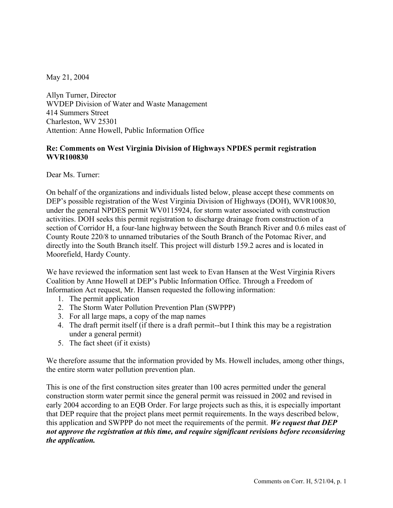May 21, 2004

Allyn Turner, Director WVDEP Division of Water and Waste Management 414 Summers Street Charleston, WV 25301 Attention: Anne Howell, Public Information Office

## **Re: Comments on West Virginia Division of Highways NPDES permit registration WVR100830**

Dear Ms. Turner:

On behalf of the organizations and individuals listed below, please accept these comments on DEP's possible registration of the West Virginia Division of Highways (DOH), WVR100830, under the general NPDES permit WV0115924, for storm water associated with construction activities. DOH seeks this permit registration to discharge drainage from construction of a section of Corridor H, a four-lane highway between the South Branch River and 0.6 miles east of County Route 220/8 to unnamed tributaries of the South Branch of the Potomac River, and directly into the South Branch itself. This project will disturb 159.2 acres and is located in Moorefield, Hardy County.

We have reviewed the information sent last week to Evan Hansen at the West Virginia Rivers Coalition by Anne Howell at DEP's Public Information Office. Through a Freedom of Information Act request, Mr. Hansen requested the following information:

- 1. The permit application
- 2. The Storm Water Pollution Prevention Plan (SWPPP)
- 3. For all large maps, a copy of the map names
- 4. The draft permit itself (if there is a draft permit--but I think this may be a registration under a general permit)
- 5. The fact sheet (if it exists)

We therefore assume that the information provided by Ms. Howell includes, among other things, the entire storm water pollution prevention plan.

This is one of the first construction sites greater than 100 acres permitted under the general construction storm water permit since the general permit was reissued in 2002 and revised in early 2004 according to an EQB Order. For large projects such as this, it is especially important that DEP require that the project plans meet permit requirements. In the ways described below, this application and SWPPP do not meet the requirements of the permit. *We request that DEP not approve the registration at this time, and require significant revisions before reconsidering the application.*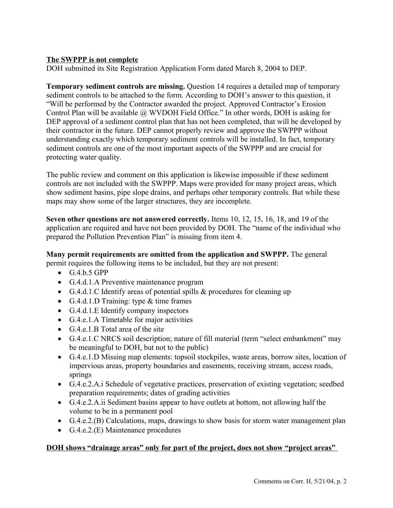## **The SWPPP is not complete**

DOH submitted its Site Registration Application Form dated March 8, 2004 to DEP.

**Temporary sediment controls are missing.** Question 14 requires a detailed map of temporary sediment controls to be attached to the form. According to DOH's answer to this question, it "Will be performed by the Contractor awarded the project. Approved Contractor's Erosion Control Plan will be available @ WVDOH Field Office." In other words, DOH is asking for DEP approval of a sediment control plan that has not been completed, that will be developed by their contractor in the future. DEP cannot properly review and approve the SWPPP without understanding exactly which temporary sediment controls will be installed. In fact, temporary sediment controls are one of the most important aspects of the SWPPP and are crucial for protecting water quality.

The public review and comment on this application is likewise impossible if these sediment controls are not included with the SWPPP. Maps were provided for many project areas, which show sediment basins, pipe slope drains, and perhaps other temporary controls. But while these maps may show some of the larger structures, they are incomplete.

**Seven other questions are not answered correctly.** Items 10, 12, 15, 16, 18, and 19 of the application are required and have not been provided by DOH. The "name of the individual who prepared the Pollution Prevention Plan" is missing from item 4.

## **Many permit requirements are omitted from the application and SWPPP.** The general

permit requires the following items to be included, but they are not present:

- $\bullet$  G.4.b.5 GPP
- G.4.d.1.A Preventive maintenance program
- G.4.d.1.C Identify areas of potential spills & procedures for cleaning up
- G.4.d.1.D Training: type & time frames
- G.4.d.1.E Identify company inspectors
- G.4.e.1.A Timetable for major activities
- G.4.e.1.B Total area of the site
- G.4.e.1.C NRCS soil description; nature of fill material (term "select embankment" may be meaningful to DOH, but not to the public)
- G.4.e.1.D Missing map elements: topsoil stockpiles, waste areas, borrow sites, location of impervious areas, property boundaries and easements, receiving stream, access roads, springs
- G.4.e.2.A.i Schedule of vegetative practices, preservation of existing vegetation; seedbed preparation requirements; dates of grading activities
- G.4.e.2.A.ii Sediment basins appear to have outlets at bottom, not allowing half the volume to be in a permanent pool
- G.4.e.2.(B) Calculations, maps, drawings to show basis for storm water management plan
- G.4.e.2.(E) Maintenance procedures

#### **DOH shows "drainage areas" only for part of the project, does not show "project areas"**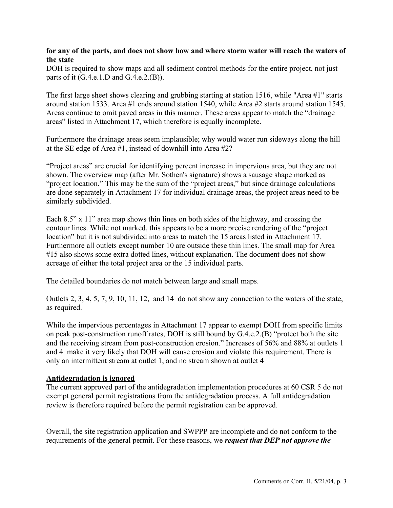## **for any of the parts, and does not show how and where storm water will reach the waters of the state**

DOH is required to show maps and all sediment control methods for the entire project, not just parts of it (G.4.e.1.D and G.4.e.2.(B)).

The first large sheet shows clearing and grubbing starting at station 1516, while "Area #1" starts around station 1533. Area #1 ends around station 1540, while Area #2 starts around station 1545. Areas continue to omit paved areas in this manner. These areas appear to match the "drainage areas" listed in Attachment 17, which therefore is equally incomplete.

Furthermore the drainage areas seem implausible; why would water run sideways along the hill at the SE edge of Area #1, instead of downhill into Area #2?

"Project areas" are crucial for identifying percent increase in impervious area, but they are not shown. The overview map (after Mr. Sothen's signature) shows a sausage shape marked as "project location." This may be the sum of the "project areas," but since drainage calculations are done separately in Attachment 17 for individual drainage areas, the project areas need to be similarly subdivided.

Each 8.5" x 11" area map shows thin lines on both sides of the highway, and crossing the contour lines. While not marked, this appears to be a more precise rendering of the "project location" but it is not subdivided into areas to match the 15 areas listed in Attachment 17. Furthermore all outlets except number 10 are outside these thin lines. The small map for Area #15 also shows some extra dotted lines, without explanation. The document does not show acreage of either the total project area or the 15 individual parts.

The detailed boundaries do not match between large and small maps.

Outlets 2, 3, 4, 5, 7, 9, 10, 11, 12, and 14 do not show any connection to the waters of the state, as required.

While the impervious percentages in Attachment 17 appear to exempt DOH from specific limits on peak post-construction runoff rates, DOH is still bound by G.4.e.2.(B) "protect both the site and the receiving stream from post-construction erosion." Increases of 56% and 88% at outlets 1 and 4 make it very likely that DOH will cause erosion and violate this requirement. There is only an intermittent stream at outlet 1, and no stream shown at outlet 4

#### **Antidegradation is ignored**

The current approved part of the antidegradation implementation procedures at 60 CSR 5 do not exempt general permit registrations from the antidegradation process. A full antidegradation review is therefore required before the permit registration can be approved.

Overall, the site registration application and SWPPP are incomplete and do not conform to the requirements of the general permit. For these reasons, we *request that DEP not approve the*